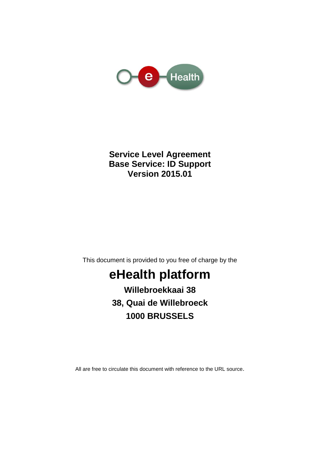

### **Service Level Agreement Base Service: ID Support Version 2015.01**

This document is provided to you free of charge by the

# **eHealth platform**

**Willebroekkaai 38 38, Quai de Willebroeck 1000 BRUSSELS**

All are free to circulate this document with reference to the URL source.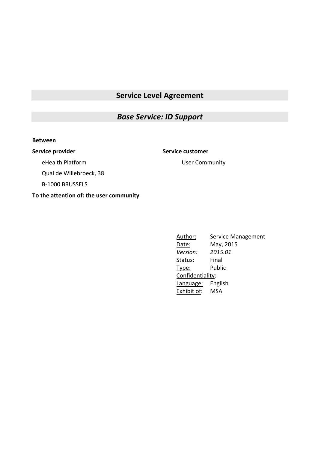### **Service Level Agreement**

### *Base Service: ID Support*

#### **Between**

#### **Service provider Service customer**

eHealth Platform

User Community

Quai de Willebroeck, 38

B-1000 BRUSSELS

**To the attention of: the user community**

Author: Service Management Date: May, 2015 *Version: 2015.01* Status: Final Type: Public Confidentiality: Language: English Exhibit of: MSA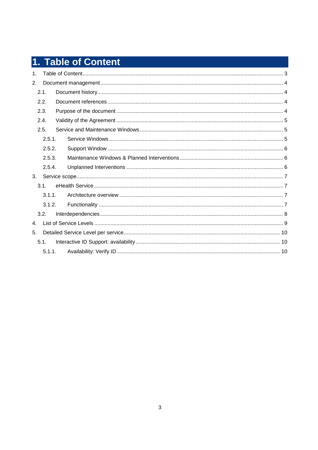# 1. Table of Content

| 1 <sub>1</sub> |        |  |  |
|----------------|--------|--|--|
| 2.             |        |  |  |
|                | 2.1.   |  |  |
|                | 2.2.   |  |  |
|                | 2.3.   |  |  |
|                | 2.4.   |  |  |
|                | 2.5.   |  |  |
|                | 2.5.1. |  |  |
|                | 2.5.2. |  |  |
|                | 2.5.3. |  |  |
|                | 2.5.4. |  |  |
| 3.             |        |  |  |
|                | 3.1.   |  |  |
|                | 3.1.1. |  |  |
|                | 3.1.2. |  |  |
|                | 3.2.   |  |  |
| 4.             |        |  |  |
| 5.             |        |  |  |
|                | 5.1.   |  |  |
|                | 5.1.1. |  |  |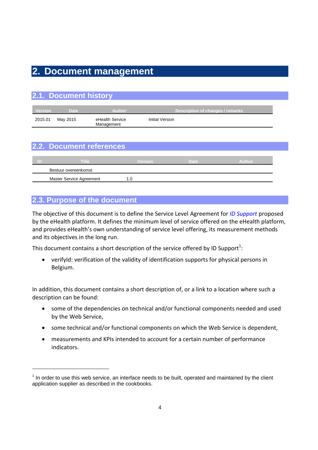# **2. Document management**

|         | 2.1. Document history |                               |                                  |
|---------|-----------------------|-------------------------------|----------------------------------|
| Version | <b>Date</b>           | <b>Author</b>                 | Description of changes / remarks |
| 2015.01 | May 2015              | eHealth Service<br>Management | Initial Version                  |

|  | 2.2. Document references |                                                 |  |
|--|--------------------------|-------------------------------------------------|--|
|  |                          |                                                 |  |
|  |                          | the contract of the contract of the contract of |  |

| ΠD | <b>Title</b>             | Version | Date | Author |  |
|----|--------------------------|---------|------|--------|--|
|    | Bestuur overeenkomst     |         |      |        |  |
|    | Master Service Agreement |         |      |        |  |

### **2.3. Purpose of the document**

-

The objective of this document is to define the Service Level Agreement for *ID Support* proposed by the eHealth platform. It defines the minimum level of service offered on the eHealth platform, and provides eHealth's own understanding of service level offering, its measurement methods and its objectives in the long run.

This document contains a short description of the service offered by ID Support<sup>1</sup>:

 [verifyId:](https://www.ehealth.fgov.be/fr/page_menu/website/home/platform/sources/nationalregister.html#01#01) verification of the validity of identification supports for physical persons in Belgium.

In addition, this document contains a short description of, or a link to a location where such a description can be found:

- some of the dependencies on technical and/or functional components needed and used by the Web Service,
- some technical and/or functional components on which the Web Service is dependent,
- measurements and KPIs intended to account for a certain number of performance indicators.

 $1$  In order to use this web service, an interface needs to be built, operated and maintained by the client application supplier as described in the cookbooks.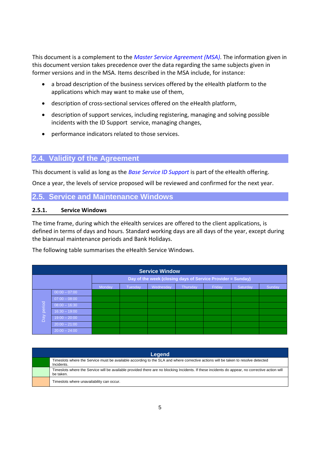This document is a complement to the *Master Service Agreement (MSA)*. The information given in this document version takes precedence over the data regarding the same subjects given in former versions and in the MSA. Items described in the MSA include, for instance:

- a broad description of the business services offered by the eHealth platform to the applications which may want to make use of them,
- description of cross-sectional services offered on the eHealth platform,
- description of support services, including registering, managing and solving possible incidents with the ID Support service, managing changes,
- performance indicators related to those services.

### **2.4. Validity of the Agreement**

This document is valid as long as the *Base Service ID Support* is part of the eHealth offering.

Once a year, the levels of service proposed will be reviewed and confirmed for the next year.

### **2.5. Service and Maintenance Windows**

#### **2.5.1. Service Windows**

The time frame, during which the eHealth services are offered to the client applications, is defined in terms of days and hours. Standard working days are all days of the year, except during the biannual maintenance periods and Bank Holidays.

The following table summarises the eHealth Service Windows.

| <b>Service Window</b> |                 |                                                             |                |           |          |        |          |        |
|-----------------------|-----------------|-------------------------------------------------------------|----------------|-----------|----------|--------|----------|--------|
|                       |                 | Day of the week (closing days of Service Provider = Sunday) |                |           |          |        |          |        |
|                       |                 | Monday                                                      | <b>Tuesday</b> | Wednesday | Thursday | Friday | Saturday | Sunday |
|                       | $00:00 - 07:00$ |                                                             |                |           |          |        |          |        |
|                       | $07:00 - 08:00$ |                                                             |                |           |          |        |          |        |
| period                | $08:00 - 16:30$ |                                                             |                |           |          |        |          |        |
|                       | $16:30 - 19:00$ |                                                             |                |           |          |        |          |        |
| Day                   | $19:00 - 20:00$ |                                                             |                |           |          |        |          |        |
|                       | $20:00 - 21:00$ |                                                             |                |           |          |        |          |        |
|                       | $20:00 - 24:00$ |                                                             |                |           |          |        |          |        |

| Legend                                                                                                                                                       |  |  |  |  |  |  |
|--------------------------------------------------------------------------------------------------------------------------------------------------------------|--|--|--|--|--|--|
| Timeslots where the Service must be available according to the SLA and where corrective actions will be taken to resolve detected<br>Incidents.              |  |  |  |  |  |  |
| Timeslots where the Service will be available provided there are no blocking Incidents. If these incidents do appear, no corrective action will<br>be taken. |  |  |  |  |  |  |
| Timeslots where unavailability can occur.                                                                                                                    |  |  |  |  |  |  |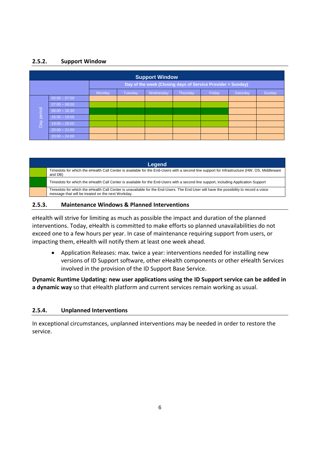### **2.5.2. Support Window**

|                 | <b>Support Window</b> |                                                             |                |           |          |        |          |        |  |
|-----------------|-----------------------|-------------------------------------------------------------|----------------|-----------|----------|--------|----------|--------|--|
|                 |                       | Day of the week (Closing days of Service Provider = Sunday) |                |           |          |        |          |        |  |
|                 |                       | Monday                                                      | <b>Tuesday</b> | Wednesday | Thursday | Friday | Saturday | Sunday |  |
|                 | $00:00 - 07:00$       |                                                             |                |           |          |        |          |        |  |
|                 | $07:00 - 08:00$       |                                                             |                |           |          |        |          |        |  |
| period          | $08:00 - 16:30$       |                                                             |                |           |          |        |          |        |  |
|                 | $16:30 - 19:00$       |                                                             |                |           |          |        |          |        |  |
| $\overline{Da}$ | $19:00 - 20:00$       |                                                             |                |           |          |        |          |        |  |
|                 | $20:00 - 21:00$       |                                                             |                |           |          |        |          |        |  |
|                 | $20:00 - 24:00$       |                                                             |                |           |          |        |          |        |  |

#### **Legend** Timeslots for which the eHealth Call Center is available for the End-Users with a second line support for Infrastructure (HW, OS, Middleware and DB) Timeslots for which the eHealth Call Center is available for the End-Users with a second line support, including Application Support Timeslots for which the eHealth Call Center is unavailable for the End-Users. The End-User will have the possibility to record a voice message that will be treated on the next Workday.

#### **2.5.3. Maintenance Windows & Planned Interventions**

eHealth will strive for limiting as much as possible the impact and duration of the planned interventions. Today, eHealth is committed to make efforts so planned unavailabilities do not exceed one to a few hours per year. In case of maintenance requiring support from users, or impacting them, eHealth will notify them at least one week ahead.

 Application Releases: max. twice a year: interventions needed for installing new versions of ID Support software, other eHealth components or other eHealth Services involved in the provision of the ID Support Base Service.

**Dynamic Runtime Updating: new user applications using the ID Support service can be added in a dynamic way** so that eHealth platform and current services remain working as usual.

### **2.5.4. Unplanned Interventions**

In exceptional circumstances, unplanned interventions may be needed in order to restore the service.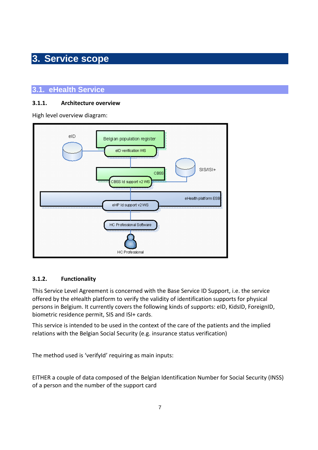# **3. Service scope**

### **3.1. eHealth Service**

### **3.1.1. Architecture overview**

High level overview diagram:



### **3.1.2. Functionality**

This Service Level Agreement is concerned with the Base Service ID Support, i.e. the service offered by the eHealth platform to verify the validity of identification supports for physical persons in Belgium. It currently covers the following kinds of supports: eID, KidsID, ForeignID, biometric residence permit, SIS and ISI+ cards.

This service is intended to be used in the context of the care of the patients and the implied relations with the Belgian Social Security (e.g. insurance status verification)

The method used is 'verifyId' requiring as main inputs:

EITHER a couple of data composed of the Belgian Identification Number for Social Security (INSS) of a person and the number of the support card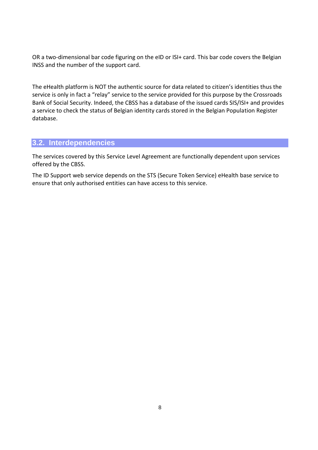OR a two-dimensional bar code figuring on the eID or ISI+ card. This bar code covers the Belgian INSS and the number of the support card.

The eHealth platform is NOT the authentic source for data related to citizen's identities thus the service is only in fact a "relay" service to the service provided for this purpose by the Crossroads Bank of Social Security. Indeed, the CBSS has a database of the issued cards SIS/ISI+ and provides a service to check the status of Belgian identity cards stored in the Belgian Population Register database.

### **3.2. Interdependencies**

The services covered by this Service Level Agreement are functionally dependent upon services offered by the CBSS.

The ID Support web service depends on the STS (Secure Token Service) eHealth base service to ensure that only authorised entities can have access to this service.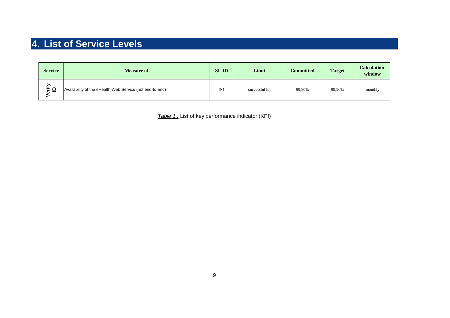# **4. List of Service Levels**

| <b>Service</b>              | <b>Measure of</b>                                        | <b>SLID</b>     | Limit          | <b>Committed</b> | <b>Target</b> | <b>Calculation</b><br>window |
|-----------------------------|----------------------------------------------------------|-----------------|----------------|------------------|---------------|------------------------------|
| ξİ<br>n<br>- 11 P<br>=<br>ø | Availability of the eHealth Web Service (not end-to-end) | IS <sub>1</sub> | successful hit | 99,50%           | 99,90%        | monthly                      |

*Table 1 :* List of key performance indicator (KPI)